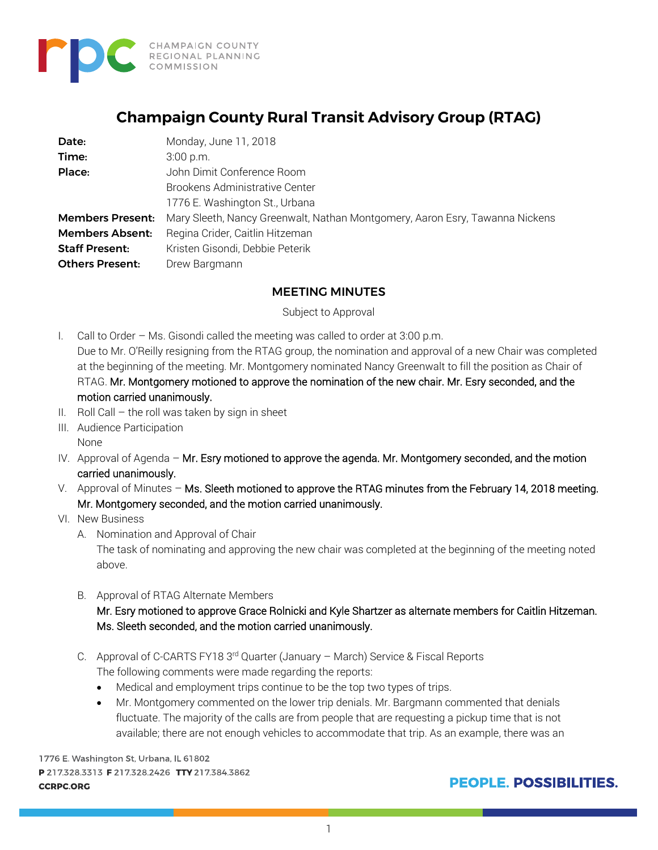

# **Champaign County Rural Transit Advisory Group (RTAG)**

| Date:                   | Monday, June 11, 2018                                                        |
|-------------------------|------------------------------------------------------------------------------|
| Time:                   | $3:00$ p.m.                                                                  |
| Place:                  | John Dimit Conference Room                                                   |
|                         | Brookens Administrative Center                                               |
|                         | 1776 E. Washington St., Urbana                                               |
| <b>Members Present:</b> | Mary Sleeth, Nancy Greenwalt, Nathan Montgomery, Aaron Esry, Tawanna Nickens |
| <b>Members Absent:</b>  | Regina Crider, Caitlin Hitzeman                                              |
| <b>Staff Present:</b>   | Kristen Gisondi, Debbie Peterik                                              |
| <b>Others Present:</b>  | Drew Bargmann                                                                |

#### MEETING MINUTES

Subject to Approval

- I. Call to Order Ms. Gisondi called the meeting was called to order at 3:00 p.m. Due to Mr. O'Reilly resigning from the RTAG group, the nomination and approval of a new Chair was completed at the beginning of the meeting. Mr. Montgomery nominated Nancy Greenwalt to fill the position as Chair of RTAG. Mr. Montgomery motioned to approve the nomination of the new chair. Mr. Esry seconded, and the motion carried unanimously.
- II. Roll Call the roll was taken by sign in sheet
- III. Audience Participation
	- None
- IV. Approval of Agenda Mr. Esry motioned to approve the agenda. Mr. Montgomery seconded, and the motion carried unanimously.
- V. Approval of Minutes Ms. Sleeth motioned to approve the RTAG minutes from the February 14, 2018 meeting. Mr. Montgomery seconded, and the motion carried unanimously.
- VI. New Business
	- A. Nomination and Approval of Chair The task of nominating and approving the new chair was completed at the beginning of the meeting noted above.
	- B. Approval of RTAG Alternate Members

Mr. Esry motioned to approve Grace Rolnicki and Kyle Shartzer as alternate members for Caitlin Hitzeman. Ms. Sleeth seconded, and the motion carried unanimously.

- C. Approval of C-CARTS FY18 3rd Quarter (January March) Service & Fiscal Reports The following comments were made regarding the reports:
	- Medical and employment trips continue to be the top two types of trips.
	- Mr. Montgomery commented on the lower trip denials. Mr. Bargmann commented that denials fluctuate. The majority of the calls are from people that are requesting a pickup time that is not available; there are not enough vehicles to accommodate that trip. As an example, there was an

1776 E. Washington St, Urbana, IL 61802 P 217.328.3313 F 217.328.2426 TTY 217.384.3862 **CCRPC.ORG** 

## **PEOPLE, POSSIBILITIES.**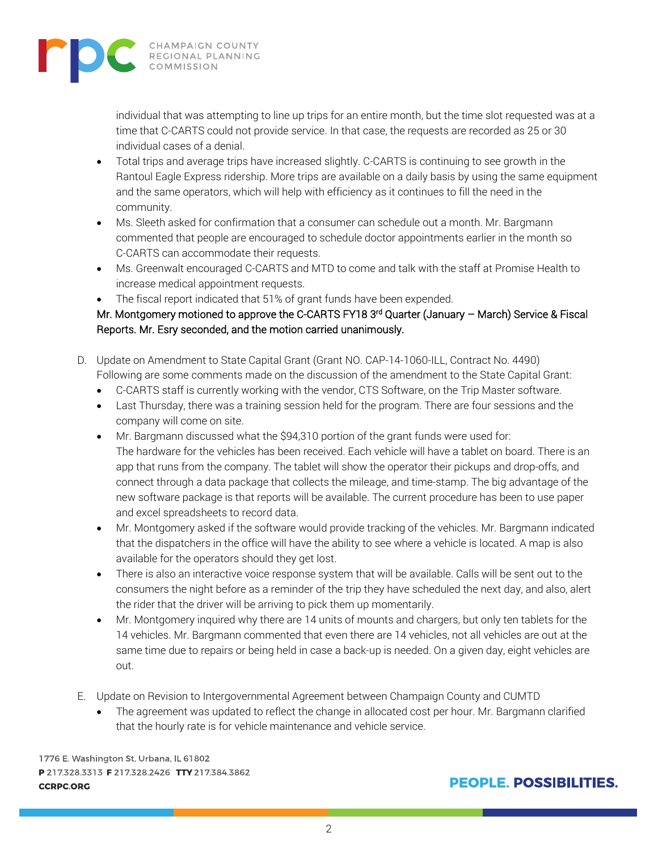

individual that was attempting to line up trips for an entire month, but the time slot requested was at a time that C-CARTS could not provide service. In that case, the requests are recorded as 25 or 30 individual cases of a denial.

- Total trips and average trips have increased slightly. C-CARTS is continuing to see growth in the Rantoul Eagle Express ridership. More trips are available on a daily basis by using the same equipment and the same operators, which will help with efficiency as it continues to fill the need in the community.
- Ms. Sleeth asked for confirmation that a consumer can schedule out a month. Mr. Bargmann commented that people are encouraged to schedule doctor appointments earlier in the month so C-CARTS can accommodate their requests.
- Ms. Greenwalt encouraged C-CARTS and MTD to come and talk with the staff at Promise Health to increase medical appointment requests.
- The fiscal report indicated that 51% of grant funds have been expended.

#### Mr. Montgomery motioned to approve the C-CARTS FY18 3<sup>rd</sup> Quarter (January – March) Service & Fiscal Reports. Mr. Esry seconded, and the motion carried unanimously.

- D. Update on Amendment to State Capital Grant (Grant NO. CAP-14-1060-ILL, Contract No. 4490) Following are some comments made on the discussion of the amendment to the State Capital Grant:
	- C-CARTS staff is currently working with the vendor, CTS Software, on the Trip Master software.
	- Last Thursday, there was a training session held for the program. There are four sessions and the company will come on site.
	- Mr. Bargmann discussed what the \$94,310 portion of the grant funds were used for: The hardware for the vehicles has been received. Each vehicle will have a tablet on board. There is an app that runs from the company. The tablet will show the operator their pickups and drop-offs, and connect through a data package that collects the mileage, and time-stamp. The big advantage of the new software package is that reports will be available. The current procedure has been to use paper and excel spreadsheets to record data.
	- Mr. Montgomery asked if the software would provide tracking of the vehicles. Mr. Bargmann indicated that the dispatchers in the office will have the ability to see where a vehicle is located. A map is also available for the operators should they get lost.
	- There is also an interactive voice response system that will be available. Calls will be sent out to the consumers the night before as a reminder of the trip they have scheduled the next day, and also, alert the rider that the driver will be arriving to pick them up momentarily.
	- Mr. Montgomery inquired why there are 14 units of mounts and chargers, but only ten tablets for the 14 vehicles. Mr. Bargmann commented that even there are 14 vehicles, not all vehicles are out at the same time due to repairs or being held in case a back-up is needed. On a given day, eight vehicles are out.
- E. Update on Revision to Intergovernmental Agreement between Champaign County and CUMTD
	- The agreement was updated to reflect the change in allocated cost per hour. Mr. Bargmann clarified that the hourly rate is for vehicle maintenance and vehicle service.

1776 E. Washington St, Urbana, IL 61802 P 217.328.3313 F 217.328.2426 TTY 217.384.3862 **CCRPC.ORG** 

## **PEOPLE, POSSIBILITIES.**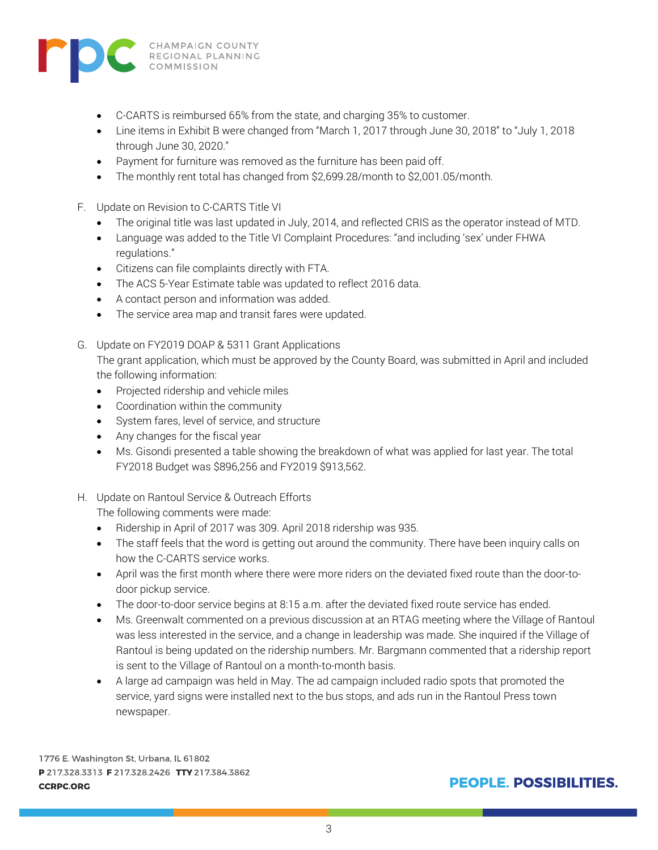

- C-CARTS is reimbursed 65% from the state, and charging 35% to customer.
- Line items in Exhibit B were changed from "March 1, 2017 through June 30, 2018" to "July 1, 2018 through June 30, 2020."
- Payment for furniture was removed as the furniture has been paid off.
- The monthly rent total has changed from \$2,699.28/month to \$2,001.05/month.
- F. Update on Revision to C-CARTS Title VI
	- The original title was last updated in July, 2014, and reflected CRIS as the operator instead of MTD.
	- Language was added to the Title VI Complaint Procedures: "and including 'sex' under FHWA regulations."
	- Citizens can file complaints directly with FTA.
	- The ACS 5-Year Estimate table was updated to reflect 2016 data.
	- A contact person and information was added.
	- The service area map and transit fares were updated.
- G. Update on FY2019 DOAP & 5311 Grant Applications

The grant application, which must be approved by the County Board, was submitted in April and included the following information:

- Projected ridership and vehicle miles
- Coordination within the community
- System fares, level of service, and structure
- Any changes for the fiscal year
- Ms. Gisondi presented a table showing the breakdown of what was applied for last year. The total FY2018 Budget was \$896,256 and FY2019 \$913,562.
- H. Update on Rantoul Service & Outreach Efforts

The following comments were made:

- Ridership in April of 2017 was 309. April 2018 ridership was 935.
- The staff feels that the word is getting out around the community. There have been inquiry calls on how the C-CARTS service works.
- April was the first month where there were more riders on the deviated fixed route than the door-todoor pickup service.
- The door-to-door service begins at 8:15 a.m. after the deviated fixed route service has ended.
- Ms. Greenwalt commented on a previous discussion at an RTAG meeting where the Village of Rantoul was less interested in the service, and a change in leadership was made. She inquired if the Village of Rantoul is being updated on the ridership numbers. Mr. Bargmann commented that a ridership report is sent to the Village of Rantoul on a month-to-month basis.
- A large ad campaign was held in May. The ad campaign included radio spots that promoted the service, yard signs were installed next to the bus stops, and ads run in the Rantoul Press town newspaper.

1776 E. Washington St, Urbana, IL 61802 P 217.328.3313 F 217.328.2426 TTY 217.384.3862 **CCRPC.ORG**